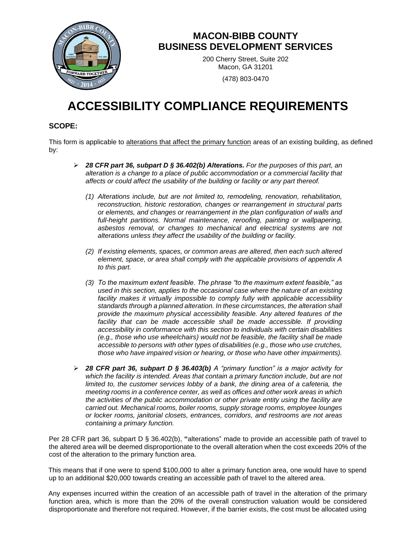

# **MACON-BIBB COUNTY BUSINESS DEVELOPMENT SERVICES**

200 Cherry Street, Suite 202 Macon, GA 31201

(478) 803-0470

# **ACCESSIBILITY COMPLIANCE REQUIREMENTS**

## **SCOPE:**

This form is applicable to alterations that affect the primary function areas of an existing building, as defined by:

- ➢ *28 CFR part 36, subpart D § 36.402(b) Alterations. For the purposes of this part, an alteration is a change to a place of public accommodation or a commercial facility that affects or could affect the usability of the building or facility or any part thereof.* 
	- *(1) Alterations include, but are not limited to, remodeling, renovation, rehabilitation, reconstruction, historic restoration, changes or rearrangement in structural parts or elements, and changes or rearrangement in the plan configuration of walls and full-height partitions. Normal maintenance, reroofing, painting or wallpapering, asbestos removal, or changes to mechanical and electrical systems are not alterations unless they affect the usability of the building or facility.*
	- *(2) If existing elements, spaces, or common areas are altered, then each such altered element, space, or area shall comply with the applicable provisions of appendix A to this part.*
	- *(3) To the maximum extent feasible. The phrase "to the maximum extent feasible," as used in this section, applies to the occasional case where the nature of an existing*  facility makes it virtually impossible to comply fully with applicable accessibility *standards through a planned alteration. In these circumstances, the alteration shall provide the maximum physical accessibility feasible. Any altered features of the*  facility that can be made accessible shall be made accessible. If providing *accessibility in conformance with this section to individuals with certain disabilities (e.g., those who use wheelchairs) would not be feasible, the facility shall be made accessible to persons with other types of disabilities (e.g., those who use crutches, those who have impaired vision or hearing, or those who have other impairments).*
- ➢ *28 CFR part 36, subpart D § 36.403(b) A "primary function" is a major activity for which the facility is intended. Areas that contain a primary function include, but are not limited to, the customer services lobby of a bank, the dining area of a cafeteria, the meeting rooms in a conference center, as well as offices and other work areas in which the activities of the public accommodation or other private entity using the facility are carried out. Mechanical rooms, boiler rooms, supply storage rooms, employee lounges or locker rooms, janitorial closets, entrances, corridors, and restrooms are not areas containing a primary function.*

Per 28 CFR part 36, subpart D § 36.402(b), **"**alterations" made to provide an accessible path of travel to the altered area will be deemed disproportionate to the overall alteration when the cost exceeds 20% of the cost of the alteration to the primary function area.

This means that if one were to spend \$100,000 to alter a primary function area, one would have to spend up to an additional \$20,000 towards creating an accessible path of travel to the altered area.

Any expenses incurred within the creation of an accessible path of travel in the alteration of the primary function area, which is more than the 20% of the overall construction valuation would be considered disproportionate and therefore not required. However, if the barrier exists, the cost must be allocated using